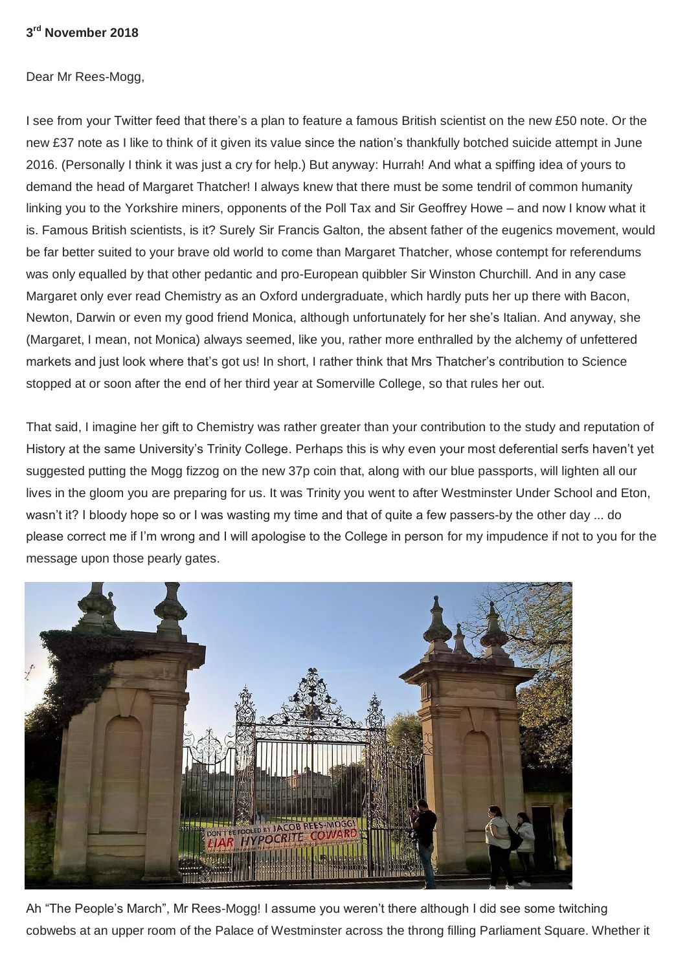## **3 rd November 2018**

Dear Mr Rees-Mogg,

I see from your Twitter feed that there's a plan to feature a famous British scientist on the new £50 note. Or the new £37 note as I like to think of it given its value since the nation's thankfully botched suicide attempt in June 2016. (Personally I think it was just a cry for help.) But anyway: Hurrah! And what a spiffing idea of yours to demand the head of Margaret Thatcher! I always knew that there must be some tendril of common humanity linking you to the Yorkshire miners, opponents of the Poll Tax and Sir Geoffrey Howe – and now I know what it is. Famous British scientists, is it? Surely Sir Francis Galton, the absent father of the eugenics movement, would be far better suited to your brave old world to come than Margaret Thatcher, whose contempt for referendums was only equalled by that other pedantic and pro-European quibbler Sir Winston Churchill. And in any case Margaret only ever read Chemistry as an Oxford undergraduate, which hardly puts her up there with Bacon, Newton, Darwin or even my good friend Monica, although unfortunately for her she's Italian. And anyway, she (Margaret, I mean, not Monica) always seemed, like you, rather more enthralled by the alchemy of unfettered markets and just look where that's got us! In short, I rather think that Mrs Thatcher's contribution to Science stopped at or soon after the end of her third year at Somerville College, so that rules her out.

That said, I imagine her gift to Chemistry was rather greater than your contribution to the study and reputation of History at the same University's Trinity College. Perhaps this is why even your most deferential serfs haven't yet suggested putting the Mogg fizzog on the new 37p coin that, along with our blue passports, will lighten all our lives in the gloom you are preparing for us. It was Trinity you went to after Westminster Under School and Eton, wasn't it? I bloody hope so or I was wasting my time and that of quite a few passers-by the other day ... do please correct me if I'm wrong and I will apologise to the College in person for my impudence if not to you for the message upon those pearly gates.



Ah "The People's March", Mr Rees-Mogg! I assume you weren't there although I did see some twitching cobwebs at an upper room of the Palace of Westminster across the throng filling Parliament Square. Whether it